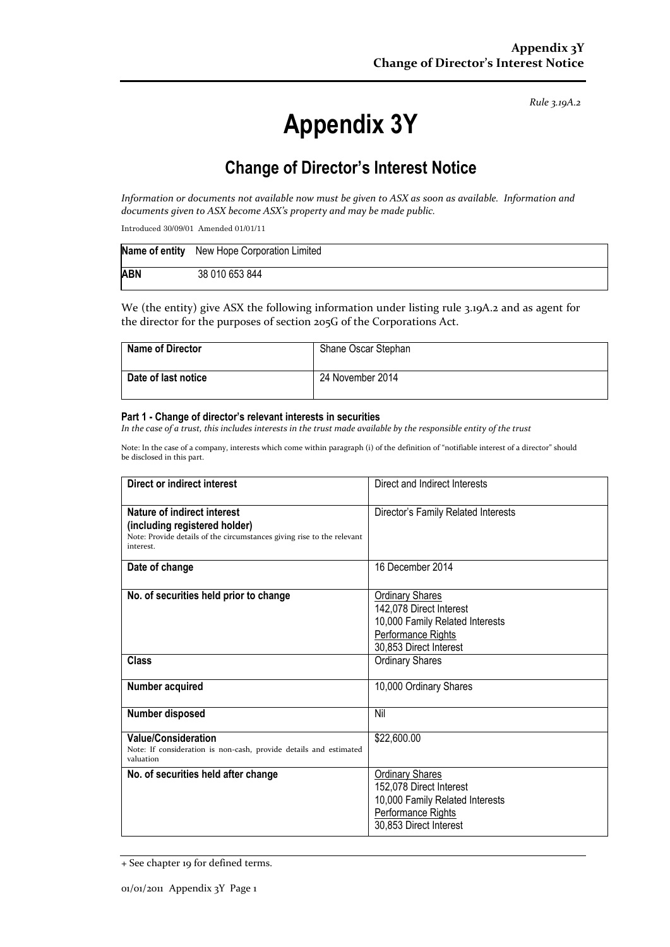*Rule 3.19A.2*

# **Appendix 3Y**

# **Change of Director's Interest Notice**

*Information or documents not available now must be given to ASX as soon as available. Information and documents given to ASX become ASX's property and may be made public.*

Introduced 30/09/01 Amended 01/01/11

|            | Name of entity New Hope Corporation Limited |
|------------|---------------------------------------------|
| <b>ABN</b> | 38 010 653 844                              |

We (the entity) give ASX the following information under listing rule 3.19A.2 and as agent for the director for the purposes of section 205G of the Corporations Act.

| <b>Name of Director</b> | Shane Oscar Stephan |
|-------------------------|---------------------|
| Date of last notice     | 24 November 2014    |

#### **Part 1 - Change of director's relevant interests in securities**

*In the case of a trust, this includes interests in the trust made available by the responsible entity of the trust*

Note: In the case of a company, interests which come within paragraph (i) of the definition of "notifiable interest of a director" should be disclosed in this part.

| <b>Direct or indirect interest</b>                                                                                                                  | Direct and Indirect Interests                                                                                                        |  |
|-----------------------------------------------------------------------------------------------------------------------------------------------------|--------------------------------------------------------------------------------------------------------------------------------------|--|
| Nature of indirect interest<br>(including registered holder)<br>Note: Provide details of the circumstances giving rise to the relevant<br>interest. | Director's Family Related Interests                                                                                                  |  |
| Date of change                                                                                                                                      | 16 December 2014                                                                                                                     |  |
| No. of securities held prior to change                                                                                                              | <b>Ordinary Shares</b><br>142,078 Direct Interest<br>10,000 Family Related Interests<br>Performance Rights<br>30,853 Direct Interest |  |
| Class                                                                                                                                               | <b>Ordinary Shares</b>                                                                                                               |  |
| Number acquired                                                                                                                                     | 10,000 Ordinary Shares                                                                                                               |  |
| Number disposed                                                                                                                                     | Nil                                                                                                                                  |  |
| <b>Value/Consideration</b><br>Note: If consideration is non-cash, provide details and estimated<br>valuation                                        | \$22,600.00                                                                                                                          |  |
| No. of securities held after change                                                                                                                 | <b>Ordinary Shares</b><br>152,078 Direct Interest<br>10,000 Family Related Interests<br>Performance Rights<br>30,853 Direct Interest |  |

<sup>+</sup> See chapter 19 for defined terms.